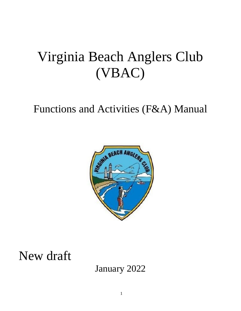# Virginia Beach Anglers Club (VBAC)

# Functions and Activities (F&A) Manual



New draft

January 2022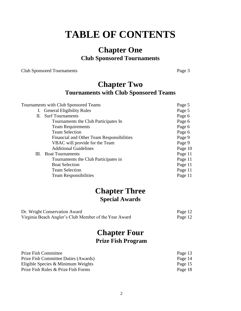## **TABLE OF CONTENTS**

### **Chapter One Club Sponsored Tournaments**

Club Sponsored Tournaments Page 3

### **Chapter Two Tournaments with Club Sponsored Teams**

| Tournaments with Club Sponsored Teams | Page 5                                    |         |
|---------------------------------------|-------------------------------------------|---------|
|                                       | I. General Eligibility Rules              | Page 5  |
| П.                                    | <b>Surf Tournaments</b>                   | Page 6  |
|                                       | Tournaments the Club Participates In      | Page 6  |
|                                       | <b>Team Requirements</b>                  | Page 6  |
|                                       | <b>Team Selection</b>                     | Page 6  |
|                                       | Financial and Other Team Responsibilities | Page 9  |
|                                       | VBAC will provide for the Team            | Page 9  |
|                                       | <b>Additional Guidelines</b>              | Page 10 |
| Ш.                                    | <b>Boat Tournaments</b>                   | Page 11 |
|                                       | Tournaments the Club Participates in      | Page 11 |
|                                       | <b>Boat Selection</b>                     | Page 11 |
|                                       | <b>Team Selection</b>                     | Page 11 |
|                                       | <b>Team Responsibilities</b>              | Page 11 |
|                                       |                                           |         |

### **Chapter Three Special Awards**

| Dr. Wright Conservation Award                         | Page 12 |
|-------------------------------------------------------|---------|
| Virginia Beach Angler's Club Member of the Year Award | Page 12 |

### **Chapter Four Prize Fish Program**

| <b>Prize Fish Committee</b>          | Page 13 |
|--------------------------------------|---------|
| Prize Fish Committee Duties (Awards) | Page 14 |
| Eligible Species $&$ Minimum Weights | Page 15 |
| Prize Fish Rules & Prize Fish Forms  | Page 18 |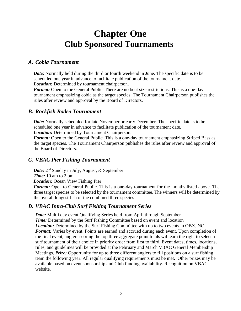### **Chapter One Club Sponsored Tournaments**

#### *A. Cobia Tournament*

*Date:* Normally held during the third or fourth weekend in June. The specific date is to be scheduled one year in advance to facilitate publication of the tournament date. *Location:* Determined by tournament chairperson.

*Format:* Open to the General Public. There are no boat size restrictions. This is a one-day tournament emphasizing cobia as the target species. The Tournament Chairperson publishes the rules after review and approval by the Board of Directors.

#### *B. Rockfish Rodeo Tournament*

*Date:* Normally scheduled for late November or early December. The specific date is to be scheduled one year in advance to facilitate publication of the tournament date. *Location:* Determined by Tournament Chairperson.

*Format:* Open to the General Public. This is a one-day tournament emphasizing Striped Bass as the target species. The Tournament Chairperson publishes the rules after review and approval of the Board of Directors.

#### *C. VBAC Pier Fishing Tournament*

Date: 2<sup>nd</sup> Sunday in July, August, & September *Time:* 10 am to 2 pm

*Location:* Ocean View Fishing Pier

*Format:* Open to General Public. This is a one-day tournament for the months listed above. The three target species to be selected by the tournament committee. The winners will be determined by the overall longest fish of the combined three species

#### *D. VBAC Intra-Club Surf Fishing Tournament Series*

*Date:* Multii day event Qualifying Series held from April through September *Time:* Determined by the Surf Fishing Committee based on event and location *Location:* Determined by the Surf Fishing Committee with up to two events in OBX, NC **Format:** Varies by event. Points are earned and accrued during each event. Upon completion of the final event, anglers scoring the top three aggregate point totals will earn the right to select a surf tournament of their choice in priority order from first to third. Event dates, times, locations, rules, and guidelines will be provided at the February and March VBAC General Membership Meetings. *Prize:* Opportunity for up to three different anglers to fill positions on a surf fishing team the following year. All regular qualifying requirements must be met. Other prizes may be available based on event sponsorship and Club funding availability. Recognition on VBAC website.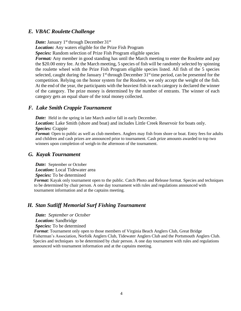#### *E. VBAC Roulette Challenge*

*Date:* January 1<sup>st</sup> through December 31<sup>st</sup>

*Location:* Any waters eligible for the Prize Fish Program

*Species:* Random selection of Prize Fish Program eligible species

*Format:* Any member in good standing has until the March meeting to enter the Roulette and pay the \$20.00 entry fee. At the March meeting, 5 species of fish will be randomly selected by spinning the roulette wheel with the Prize Fish Program eligible species listed. All fish of the 5 species selected, caught during the January  $1<sup>st</sup>$  through December  $31<sup>st</sup>$  time period, can be presented for the competition. Relying on the honor system for the Roulette, we only accept the weight of the fish. At the end of the year, the participants with the heaviest fish in each category is declared the winner of the category. The prize money is determined by the number of entrants. The winner of each category gets an equal share of the total money collected.

#### *F. Lake Smith Crappie Tournament*

*Date:* Held in the spring in late March and/or fall in early December.

*Location:* Lake Smith (shore and boat) and includes Little Creek Reservoir for boats only. *Species:* Crappie

*Format:* Open to public as well as club members. Anglers may fish from shore or boat. Entry fees for adults and children and cash prizes are announced prior to tournament. Cash prize amounts awarded to top two winners upon completion of weigh-in the afternoon of the tournament.

#### *G. Kayak Tournament*

*Date:* September or October

*Location:* Local Tidewater area

*Species:* To be determined

*Format:* Kayak only tournament open to the public. Catch Photo and Release format. Species and techniques to be determined by chair person. A one day tournament with rules and regulations announced with tournament information and at the captains meeting.

#### *H. Stan Sutliff Memorial Surf Fishing Tournament*

*Date: September or October Location:* Sandbridge *Species:* To be determined

*Format*: Tournament only open to those members of Virginia Beach Anglers Club, Great Bridge Fisherman's Association, Norfolk Anglers Club, Tidewater Anglers Club and the Portsmouth Anglers Club. Species and techniques to be determined by chair person. A one day tournament with rules and regulations announced with tournament information and at the captains meeting.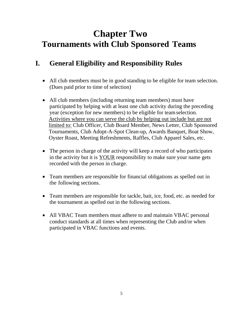## **Chapter Two Tournaments with Club Sponsored Teams**

### **I. General Eligibility and Responsibility Rules**

- All club members must be in good standing to be eligible for team selection. (Dues paid prior to time of selection)
- All club members (including returning team members) must have participated by helping with at least one club activity during the preceding year (exception for new members) to be eligible for teamselection. Activities where you can serve the club by helping out include but are not limited to: Club Officer, Club Board Member, News Letter, Club Sponsored Tournaments, Club Adopt-A-Spot Clean-up, Awards Banquet, Boat Show, Oyster Roast, Meeting Refreshments, Raffles, Club Apparel Sales, etc.
- The person in charge of the activity will keep a record of who participates in the activity but it is YOUR responsibility to make sure your name gets recorded with the person in charge.
- Team members are responsible for financial obligations as spelled out in the following sections.
- Team members are responsible for tackle, bait, ice, food, etc. as needed for the tournament as spelled out in the following sections.
- All VBAC Team members must adhere to and maintain VBAC personal conduct standards at all times when representing the Club and/or when participated in VBAC functions and events.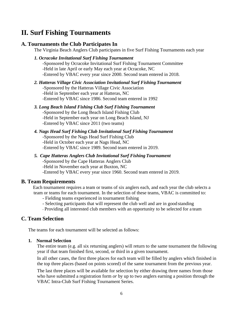### **II. Surf Fishing Tournaments**

#### **A. Tournaments the Club Participates In**

The Virginia Beach Anglers Club participates in five Surf Fishing Tournaments each year

#### *1. Ocracoke Invitational Surf Fishing Tournament*

-Sponsored by Ocracoke Invitational Surf Fishing Tournament Committee -Held in late April or early May each year at Ocracoke, NC -Entered by VBAC every year since 2000. Second team entered in 2018.

#### *2. Hatteras Village Civic Association Invitational Surf Fishing Tournament*

-Sponsored by the Hatteras Village Civic Association -Held in September each year at Hatteras, NC

-Entered by VBAC since 1986. Second team entered in 1992

#### *3. Long Beach Island Fishing Club Surf Fishing Tournament*

-Sponsored by the Long Beach Island Fishing Club -Held in September each year on Long Beach Island, NJ -Entered by VBAC since 2011 (two teams)

#### *4. Nags Head Surf Fishing Club Invitational Surf Fishing Tournament*

-Sponsored by the Nags Head Surf Fishing Club -Held in October each year at Nags Head, NC -Entered by VBAC since 1989. Second team entered in 2019.

#### *5. Cape Hatteras Anglers Club Invitational Surf Fishing Tournament*

-Sponsored by the Cape Hatteras Anglers Club -Held in November each year at Buxton, NC -Entered by VBAC every year since 1960. Second team entered in 2019.

#### **B. Team Requirements**

Each tournament requires a team or teams of six anglers each, and each year the club selects a team or teams for each tournament. In the selection of these teams, VBAC is committed to:

- Fielding teams experienced in tournament fishing

- Selecting participants that will represent the club well and are in good standing

- Providing all interested club members with an opportunity to be selected for a team

#### **C. Team Selection**

The teams for each tournament will be selected as follows:

#### **1. Normal Selection**

The entire team (e.g. all six returning anglers) will return to the same tournament the following year if that team finished first, second, or third in a given tournament.

In all other cases, the first three places for each team will be filled by anglers which finished in the top three places (based on points scored) of the same tournament from the previous year.

The last three places will be available for selection by either drawing three names from those who have submitted a registration form *or* by up to two anglers earning a position through the VBAC Intra-Club Surf Fishing Tournament Series.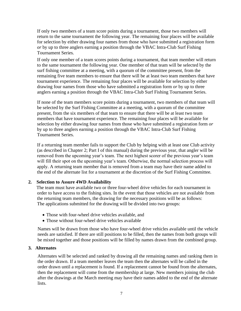If only two members of a team score points during a tournament, those two members will return to the same tournament the following year. The remaining four places will be available for selection by either drawing four names from those who have submitted a registration form *or* by up to three anglers earning a position through the VBAC Intra-Club Surf Fishing Tournament Series.

If only one member of a team scores points during a tournament, that team member will return to the same tournament the following year. One member of that team will be selected by the surf fishing committee at a meeting, with a quorum of the committee present, from the remaining five team members to ensure that there will be at least two team members that have tournament experience. The remaining four places will be available for selection by either drawing four names from those who have submitted a registration form *or* by up to three anglers earning a position through the VBAC Intra-Club Surf Fishing Tournament Series.

If none of the team members score points during a tournament, two members of that team will be selected by the Surf Fishing Committee at a meeting, with a quorum of the committee present, from the six members of that team to ensure that there will be at least two team members that have tournament experience. The remaining four places will be available for selection by either drawing four names from those who have submitted a registration form *or*  by up to three anglers earning a position through the VBAC Intra-Club Surf Fishing Tournament Series.

If a returning team member fails to support the Club by helping with at least one Club activity (as described in Chapter 2; Part I of this manual) during the previous year, that angler will be removed from the upcoming year's team. The next highest scorer of the previous year's team will fill their spot on the upcoming year's team. Otherwise, the normal selection process will apply. A returning team member that is removed from a team may have their name added to the end of the alternate list for a tournament at the discretion of the Surf Fishing Committee.

#### **2. Selection to Assure 4WD Availability**

The team must have available two or three four-wheel drive vehicles for each tournament in order to have access to the fishing sites. In the event that those vehicles are not available from the returning team members, the drawing for the necessary positions will be as follows: The applications submitted for the drawing will be divided into two groups:

- Those with four-wheel drive vehicles available, and
- Those without four-wheel drive vehicles available

Names will be drawn from those who have four-wheel drive vehicles available until the vehicle needs are satisfied. If there are still positions to be filled, then the names from both groups will be mixed together and those positions will be filled by names drawn from the combined group.

#### **3. Alternates**

Alternates will be selected and ranked by drawing all the remaining names and ranking them in the order drawn. If a team member leaves the team then the alternates will be called in the order drawn until a replacement is found. If a replacement cannot be found from the alternates, then the replacement will come from the membership at large. New members joining the club after the drawings at the March meeting may have their names added to the end of the alternate lists.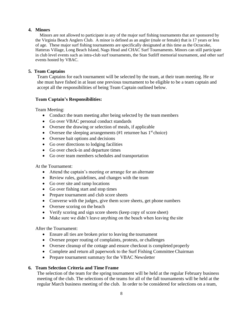#### **4. Minors**

 Minors are not allowed to participate in any of the major surf fishing tournaments that are sponsored by the Virginia Beach Anglers Club. A minor is defined as an angler (male or female) that is 17 years or less of age. These major surf fishing tournaments are specifically designated at this time as the Ocracoke, Hatteras Village, Long Beach Island, Nags Head and CHAC Surf Tournaments. Minors can still participate in club level events such as intra-club surf tournaments, the Stan Sutliff memorial tournament, and other surf events hosted by VBAC.

#### **5. Team Captains**

Team Captains for each tournament will be selected by the team, at their team meeting. He or she must have fished in at least one previous tournament to be eligible to be a team captain and accept all the responsibilities of being Team Captain outlined below.

#### **Team Captain's Responsibilities:**

Team Meeting:

- Conduct the team meeting after being selected by the team members
- Go over VBAC personal conduct standards
- Oversee the drawing or selection of meals, if applicable
- Oversee the sleeping arrangements  $(\#1)$  returnee has  $1<sup>st</sup>$  choice)
- Oversee bait options and decisions
- Go over directions to lodging facilities
- Go over check-in and departure times
- Go over team members schedules and transportation

At the Tournament:

- Attend the captain's meeting or arrange for an alternate
- Review rules, guidelines, and changes with the team
- Go over site and ramp locations
- Go over fishing start and stop times
- Prepare tournament and club score sheets
- Converse with the judges, give them score sheets, get phone numbers
- Oversee scoring on the beach
- Verify scoring and sign score sheets (keep copy of score sheet)
- Make sure we didn't leave anything on the beach when leaving the site

After the Tournament:

- Ensure all ties are broken prior to leaving the tournament
- Oversee proper routing of complaints, protests, or challenges
- Oversee cleanup of the cottage and ensure checkout is completed properly
- Complete and return all paperwork to the Surf Fishing Committee Chairman
- Prepare tournament summary for the VBAC Newsletter

#### **6. Team Selection Criteria and Time Frame**

The selection of the team for the spring tournament will be held at the regular February business meeting of the club. The selections of the teams for all of the fall tournaments will be held at the regular March business meeting of the club. In order to be considered for selections on a team,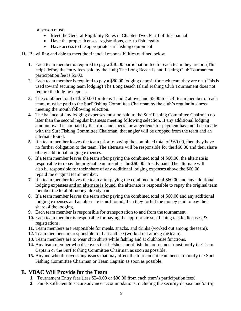a person must:

- Meet the General Eligibility Rules in Chapter Two, Part I of this manual
- Have the proper licenses, registrations, etc. to fish legally
- Have access to the appropriate surf fishing equipment

#### **D.** Be willing and able to meet the financial responsibilities outlined below.

- **1.** Each team member is required to pay a \$40.00 participation fee for each team they are on. (This helps defray the entry fees paid by the club) The Long Beach Island Fishing Club Tournament participation fee is \$5.00.
- **2.** Each team member is required to pay a \$80.00 lodging deposit for each team they are on. (This is used toward securing team lodging) The Long Beach Island Fishing Club Tournament does not require the lodging deposit.
- **3.** The combined total of \$120.00 for items 1 and 2 above, and \$5.00 for LBI team member of each team, must be paid to the Surf Fishing Committee Chairman by the club's regular business meeting the month following selection.
- **4.** The balance of any lodging expenses must be paid to the Surf Fishing Committee Chairman no later than the second regular business meeting following selection. If any additional lodging amount owed is not paid by that time and special arrangements for payment have not been made with the Surf Fishing Committee Chairman, that angler will be dropped from the team and an alternate found.
- **5.** If a team member leaves the team prior to paying the combined total of \$60.00, then they have no further obligation to the team. The alternate will be responsible for the \$60.00 and their share of any additional lodging expenses.
- **6.** If a team member leaves the team after paying the combined total of \$60.00, the alternate is responsible to repay the original team member the \$60.00 already paid. The alternate will also be responsible for their share of any additional lodging expenses above the \$60.00 repaid the original team member.
- **7.** If a team member leaves the team after paying the combined total of \$60.00 and any additional lodging expenses and an alternate **is** found, the alternate is responsible to repay the original team member the total of money already paid.
- **8.** If a team member leaves the team after paying the combined total of \$60.00 and any additional lodging expenses and an alternate **is not** found, then they forfeit the money paid to pay their share of the lodging.
- **9.** Each team member is responsible for transportation to and from the tournament.
- **10.** Each team member is responsible for having the appropriate surf fishing tackle, licenses, & registrations.
- **11.** Team members are responsible for meals, snacks, and drinks (worked out among the team).
- **12.** Team members are responsible for bait and ice (worked out among the team).
- **13.** Team members are to wear club shirts while fishing and at clubhouse functions.
- **14.** Any team member who discovers that he/she cannot fish the tournament must notify the Team Captain or the Surf Fishing Committee Chairman as soon as possible.
- **15.** Anyone who discovers any issues that may affect the tournament team needs to notify the Surf Fishing Committee Chairman or Team Captain as soon as possible.

### **E. VBAC Will Provide for the Team**

- **1.** Tournament Entry fees (less \$240.00 or \$30.00 from each team's participation fees).
- **2.** Funds sufficient to secure advance accommodations, including the security deposit and/or trip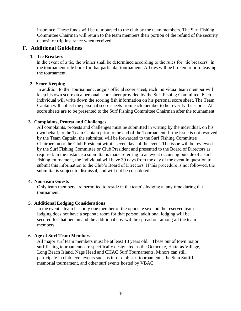insurance. These funds will be reimbursed to the club by the team members. The Surf Fishing Committee Chairman will return to the team members their portion of the refund of the security deposit or trip insurance when received.

#### **F. Additional Guidelines**

#### **1. Tie Breakers**

In the event of a tie, the winner shall be determined according to the rules for "tie breakers" in the tournament rule book for that particular tournament. All ties will be broken prior to leaving the tournament.

#### **2. Score Keeping**

In addition to the Tournament Judge's official score sheet, each individual team member will keep his own score on a personal score sheet provided by the Surf Fishing Committee. Each individual will write down the scoring fish information on his personal score sheet. The Team Captain will collect the personal score sheets from each member to help verify the scores. All score sheets are to be presented to the Surf Fishing Committee Chairman after the tournament.

#### **3. Complaints, Protest and Challenges**

All complaints, protests and challenges must be submitted in writing by the individual, on his own behalf, to the Team Captain prior to the end of the Tournament. If the issue is not resolved by the Team Captain, the submittal will be forwarded to the Surf Fishing Committee Chairperson or the Club President within seven days of the event. The issue will be reviewed by the Surf Fishing Committee or Club President and presented to the Board of Directors as required. In the instance a submittal is made referring to an event occurring outside of a surf fishing tournament, the individual will have 30 days from the day of the event in question to submit this information to the Club's Board of Directors. If this procedure is not followed, the submittal is subject to dismissal, and will not be considered.

#### **4. Non-team Guests**

Only team members are permitted to reside in the team's lodging at any time during the tournament.

#### **5. Additional Lodging Considerations**

In the event a team has only one member of the opposite sex and the reserved team lodging does not have a separate room for that person, additional lodging will be secured for that person and the additional cost will be spread out among all the team members.

#### **6. Age of Surf Team Members**

All major surf team members must be at least 18 years old. These out of town major surf fishing tournaments are specifically designated as the Ocracoke, Hatteras Village, Long Beach Island, Nags Head and CHAC Surf Tournaments. Minors can still participate in club level events such as intra-club surf tournaments, the Stan Sutliff memorial tournament, and other surf events hosted by VBAC.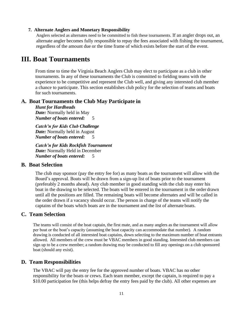#### **7. Alternate Anglers and Monetary Responsibility**

Anglers selected as alternates need to be committed to fish these tournaments. If an angler drops out, an alternate angler becomes fully responsible to repay the fees associated with fishing the tournament, regardless of the amount due or the time frame of which exists before the start of the event.

### **III. Boat Tournaments**

From time to time the Virginia Beach Anglers Club may elect to participate as a club in other tournaments. In any of these tournaments the Club is committed to fielding teams with the experience to be competitive and represent the Club well, and giving any interested club member a chance to participate. This section establishes club policy for the selection of teams and boats for such tournaments.

#### **A. Boat Tournaments the Club May Participate in**

*Hunt for Hardheads*

*Date:* Normally held in May *Number of boats entered:* 5

*Catch'n for Kids Club Challenge Date:* Normally held in August *Number of boats entered:* 5

*Catch'n for Kids Rockfish Tournament Date:* Normally Held in December *Number of boats entered:* 5

#### **B. Boat Selection**

The club may sponsor (pay the entry fee for) as many boats as the tournament will allow with the Board's approval. Boats will be drawn from a sign-up list of boats prior to the tournament (preferably 2 months ahead). Any club member in good standing with the club may enter his boat in the drawing to be selected. The boats will be entered in the tournament in the order drawn until all the positions are filled. The remaining boats will become alternates and will be called in the order drawn if a vacancy should occur. The person in charge of the teams will notify the captains of the boats which boats are in the tournament and the list of alternate boats.

#### **C. Team Selection**

The teams will consist of the boat captain, the first mate, and as many anglers as the tournament will allow per boat or the boat's capacity (assuming the boat capacity can accommodate that number). A random drawing is conducted of all interested boat captains, down selecting to the maximum number of boat entrants allowed. All members of the crew must be VBAC members in good standing. Interested club members can sign up to be a crew member; a random drawing may be conducted to fill any openings on a club sponsored boat (should any exist).

#### **D. Team Responsibilities**

The VBAC will pay the entry fee for the approved number of boats. VBAC has no other responsibility for the boats or crews. Each team member, except the captain, is required to pay a \$10.00 participation fee (this helps defray the entry fees paid by the club). All other expenses are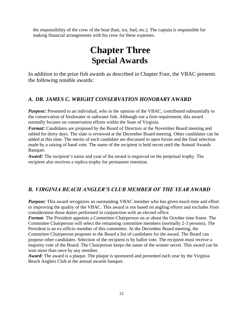the responsibility of the crew of the boat (bait, ice, fuel, etc.). The captain is responsible for making financial arrangements with his crew for these expenses.

### **Chapter Three Special Awards**

In addition to the prize fish awards as described in Chapter Four, the VBAC presents the following notable awards:

### *A. DR. JAMES C. WRIGHT CONSERVATION HONORARY AWARD*

*Purpose*: Presented to an individual, who in the opinion of the VBAC, contributed substantially to the conservation of freshwater or saltwater fish. Although not a firm requirement, this award normally focuses on conservation efforts within the State of Virginia.

*Format:* Candidates are proposed by the Board of Directors at the November Board meeting and tabled for thirty days. The slate is reviewed at the December Board meeting. Other candidates can be added at this time. The merits of each candidate are discussed in open forum and the final selection made by a raising of hand vote. The name of the recipient is held secret until the Annual Awards Banquet.

*Award:* The recipient's name and year of the award is engraved on the perpetual trophy. The recipient also receives a replica trophy for permanent retention.

### *B. VIRGINIA BEACH ANGLER'S CLUB MEMBER OF THE YEAR AWARD*

*Purpose:* This award recognizes an outstanding VBAC member who has given much time and effort to improving the quality of the VBAC. This award is not based on angling efforts and excludes from consideration those duties performed in conjunction with an elected office.

*Format:* The President appoints a Committee Chairperson on or about the October time frame. The Committee Chairperson will select the remaining committee members (normally 2-3 persons). The President is an ex-officio member of this committee. At the December Board meeting, the Committee Chairperson proposes to the Board a list of candidates for the award. The Board can propose other candidates. Selection of the recipient is by ballot vote. The recipient must receive a majority vote of the Board. The Chairperson keeps the name of the winner secret. This award can be won more than once by any member.

*Award:* The award is a plaque. The plaque is sponsored and presented each year by the Virginia Beach Anglers Club at the annual awards banquet.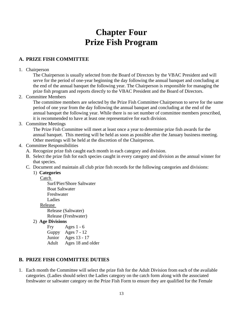### **Chapter Four Prize Fish Program**

### **A. PRIZE FISH COMMITTEE**

#### 1. Chairperson

The Chairperson is usually selected from the Board of Directors by the VBAC President and will serve for the period of one-year beginning the day following the annual banquet and concluding at the end of the annual banquet the following year. The Chairperson is responsible for managing the prize fish program and reports directly to the VBAC President and the Board of Directors.

2. Committee Members

The committee members are selected by the Prize Fish Committee Chairperson to serve for the same period of one year from the day following the annual banquet and concluding at the end of the annual banquet the following year. While there is no set number of committee members prescribed, it is recommended to have at least one representative for each division.

3. Committee Meetings

The Prize Fish Committee will meet at least once a year to determine prize fish awards for the annual banquet. This meeting will be held as soon as possible after the January business meeting. Other meetings will be held at the discretion of the Chairperson.

#### 4. Committee Responsibilities

- A. Recognize prize fish caught each month in each category and division.
- B. Select the prize fish for each species caught in every category and division as the annual winner for that species.
- C. Document and maintain all club prize fish records for the following categories and divisions:

#### 1) **Categories**

#### Catch

Surf/Pier/Shore Saltwater Boat Saltwater Freshwater Ladies Release Release (Saltwater)

Release (Freshwater)

#### 2) **Age Divisions**

Fry Ages 1 - 6 Guppy Ages 7 - 12 Junior Ages 13 - 17 Adult Ages 18 and older

#### **B. PRIZE FISH COMMITTEE DUTIES**

1. Each month the Committee will select the prize fish for the Adult Division from each of the available categories. (Ladies should select the Ladies category on the catch form along with the associated freshwater or saltwater category on the Prize Fish Form to ensure they are qualified for the Female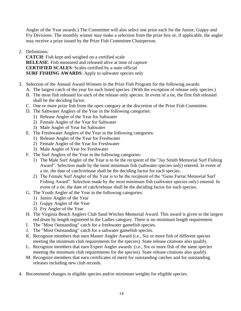Angler of the Year awards.) The Committee will also select one prize each for the Junior, Guppy and Fry Divisions. The monthly winner may make a selection from the prize box or, if applicable, the angler may receive a prize issued by the Prize Fish Committee Chairperson.

2. Definitions:

**CATCH**: Fish kept and weighed on a certified scale **RELEASE**: Fish measured and released alive at time of capture **CERTIFIED SCALES**: Scales certified by a state official **SURF FISHING AWARDS**: Apply to saltwater species only

- 3. Selection of the Annual Award Winners in the Prize Fish Program for the following awards:
	- A. The largest catch of the year for each listed species. (With the exception of release only species.)
	- B. The most fish released for each of the release only species. In event of a tie, the first fish released shall be the deciding factor.
	- C. One or more prize fish from the open category at the discretion of the Prize Fish Committee.
	- D. The Saltwater Anglers of the Year in the following categories:
		- 1) Release Angler of the Year for Saltwater
		- 2) Female Angler of the Year for Saltwater
		- 3) Male Angler of Year for Saltwater
	- E. The Freshwater Anglers of the Year in the following categories:
		- 1) Release Angler of the Year for Freshwater
		- 2) Female Angler of the Year for Freshwater
		- 3) Male Angler of Year for Freshwater
	- F. The Surf Anglers of the Year in the following categories:
		- 1) The Male Surf Angler of the Year is to be the recipient of the "Jay Smith Memorial Surf Fishing Award". Selection made by the most minimum fish (saltwater species only) entered. In event of a tie, the date of catch/release shall be the deciding factor for each species.
		- 2) The Female Surf Angler of the Year is to be the recipient of the "Gene Farrar Memorial Surf Fishing Award". Selection made by the most minimum fish (saltwater species only) entered. In event of a tie, the date of catch/release shall be the deciding factor for each species.
	- G. The Youth Angler of the Year in the following categories:
		- 1) Junior Angler of the Year
		- 2) Guppy Angler of the Year
		- 3) Fry Angler of the Year
	- H. The Virginia Beach Anglers Club Sand Witches Memorial Award. This award is given to the largest red drum by length registered in the Ladies category. There is no minimum length requirement.
	- I. The "Most Outstanding" catch for a freshwater gamefish species.
	- J. The "Most Outstanding" catch for a saltwater gamefish species.
	- K. Recognize members that earn Master Angler Award (i.e., Six or more fish of different species meeting the minimum club requirements for the species). State release citations also qualify.
	- L. Recognize members that earn Expert Angler awards. (i.e., Six or more fish of the same species meeting the minimum club requirements for the species). State release citations also qualify.
	- M. Recognize members that earn certificates of merit for outstanding catches and for outstanding releases including new club records.
- 4. Recommend changes in eligible species and/or minimum weights for eligible species.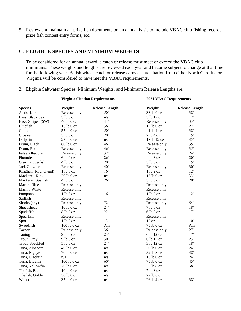5. Review and maintain all prize fish documents on an annual basis to include VBAC club fishing records, prize fish contest entry forms, etc.

#### **C. ELIGIBLE SPECIES AND MINIMUM WEIGHTS**

1. To be considered for an annual award, a catch or release must meet or exceed the VBAC club minimums. These weights and lengths are reviewed each year and become subject to change at that time for the following year. A fish whose catch or release earns a state citation from either North Carolina or Virginia will be considered to have met the VBAC requirements.

**Virginia Citation Requirements 2021 VBAC Requirements**

2. Eligible Saltwater Species, Minimum Weights, and Minimum Release Lengths are:

| <b>Species</b>        | Weight         | <b>Release Length</b> | Weight          | <b>Release Length</b> |
|-----------------------|----------------|-----------------------|-----------------|-----------------------|
| Amberjack             | Release only   | 50"                   | 38 lb 0 oz      | 38"                   |
| Bass, Black Sea       | 5 lb 0 oz      | n/a                   | 3 lb 12 oz      | 17"                   |
| Bass, Striped (SW)    | 40 lb 0 oz     | 44"                   | Release only    | 33"                   |
| Bluefish              | 16 lb 0 oz     | 36"                   | 12 lb 0 oz      | 27"                   |
| Cobia                 | 55 lb 0 oz     | 50"                   | 41 lb 4 oz      | 38"                   |
| Croaker               | 3 lb0 oz       | $20$ "                | 2 lb4 oz        | 15"                   |
| Dolphin               | 25 lb 0 oz     | n/a                   | 18 lb 12 oz     | 35"                   |
| Drum, Black           | 80 lb 0 oz     | 46"                   | Release only    | 35"                   |
| Drum, Red             | Release only   | 46"                   | Release only    | 35"                   |
| <b>False Albacore</b> | Release only   | 32"                   | Release only    | 24"                   |
| Flounder              | 6 lb 0 oz      | 26"                   | 4 lb 8 oz       | 20"                   |
| Gray Triggerfish      | 4 lb 0 oz      | 20"                   | 3 lb 0 oz       | 15"                   |
| <b>Jack Crevalle</b>  | Release only   | 40"                   | Release only    | 30"                   |
| Kingfish (Roundhead)  | 1 lb 8 oz      | 16"                   | 1 lb 2 oz       | 12"                   |
| Mackerel, King        | $20$ lb $0$ oz | n/a                   | 15 lb 0 oz      | 33"                   |
| Mackerel, Spanish     | 4 lb 0 oz      | 26"                   | 3 lb0 oz        | 20"                   |
| Marlin, Blue          | Release only   |                       | Release only    |                       |
| Marlin, White         | Release only   |                       | Release only    |                       |
| Pompano               | 1 lb 8 oz      | 16"                   | 1 lb 2 oz       | 12"                   |
| Sailfish              | Release only   |                       | Release only    |                       |
| Sharks (any)          | Release only   | 72"                   | Release only    | 54"                   |
| Sheepshead            | 10 lb 0 oz     | 24"                   | 7 lb 8 oz       | 18"                   |
| Spadefish             | 8 lb 0 oz      | 22"                   | 6 lb0 oz        | 17"                   |
| Spearfish             | Release only   |                       | Release only    |                       |
| Spot                  | 1 lb0 oz       | 13"                   | $12 \text{ oz}$ | 10"                   |
| Swordfish             | 100 lb 0 oz    | Any                   | 75 lb 0 oz      | Any                   |
| Tarpon                | Release only   | 36"                   | Release only    | 27"                   |
| Tautog                | $9$ lb $0$ oz  | 23"                   | 6 lb 12 oz      | 17"                   |
| Trout, Gray           | $9$ lb $0$ oz  | 30"                   | 6 lb 12 oz      | 23"                   |
| Trout, Speckled       | 5 lb 0 oz      | 24"                   | 3 lb 12 oz      | 18"                   |
| Tuna, Albacore        | 40 lb 0 oz     | n/a                   | 30 lb 0 oz      | 24"                   |
| Tuna, Bigeye          | 70 lb 0 oz     | n/a                   | 52 lb 8 oz      | 38"                   |
| Tuna, Blackfin        | n/a            | n/a                   | 15 lb 0 oz      | 24"                   |
| Tuna, Bluefin         | 100 lb 0 oz    | 60"                   | 75 lb 0 oz      | 45"                   |
| Tuna, Yellowfin       | 70 lb 0 oz     | n/a                   | 52 lb 8 oz      | 38"                   |
| Tilefish, Blueline    | $10$ lb $0$ oz | n/a                   | 7 lb 8 oz       |                       |
| Tilefish, Golden      | $30$ lb $0$ oz | n/a                   | 22 lb 8 oz      |                       |
| Wahoo                 | 35 lb 0 oz     | n/a                   | $26$ lb $4$ oz  | 38"                   |
|                       |                |                       |                 |                       |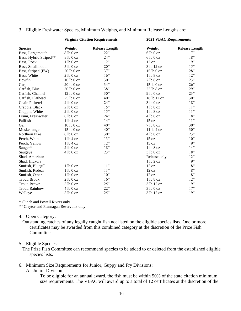#### 3. Eligible Freshwater Species, Minimum Weights, and Minimum Release Lengths are:

#### **Virginia Citation Requirements 2021 VBAC Requirements**

| <b>Species</b>         | Weight     | <b>Release Length</b> | Weight        | <b>Release Length</b> |
|------------------------|------------|-----------------------|---------------|-----------------------|
| Bass, Largemouth       | 81b0oz     | 22"                   | 6 lb 0 oz     | 17"                   |
| Bass, Hybrid Striped** | 8 lb 0 oz  | 24"                   | 6 lb0 oz      | 18"                   |
| Bass, Rock             | 1 lb0 oz   | 12"                   | 12 oz         | 9"                    |
| Bass, Smallmouth       | 5 lb 0 oz  | $20$ "                | 3 lb 12 oz    | 15"                   |
| Bass, Striped (FW)     | 20 lb 0 oz | 37"                   | 15 lb 0 oz    | 28"                   |
| Bass, White            | 2 lb 0 oz  | 16"                   | 1 lb 8 oz     | 12"                   |
| Bowfin                 | 10 lb 0 oz | 30"                   | 7 lb 8 oz     | 23"                   |
| Carp                   | 20 lb 0 oz | 34"                   | 15 lb 0 oz    | 26"                   |
| Catfish, Blue          | 30 lb 0 oz | 38"                   | 22 lb 8 oz    | 29"                   |
| Catfish, Channel       | 12 lb 0 oz | 30"                   | $9$ lb $0$ oz | 23"                   |
| Catfish, Flathead      | 25 lb 0 oz | 40"                   | 18 lb 12 oz   | 30"                   |
| Chain Pickerel         | 4 lb0 oz   | 24"                   | 3 lb0 oz      | 18"                   |
| Crappie, Black         | 2 lb0 oz   | 15"                   | 1 lb 8 oz     | 11"                   |
| Crappie, White         | 2 lb0 oz   | 15"                   | 1 lb 8 oz     | 11"                   |
| Drum, Freshwater       | 6 lb 0 oz  | 24"                   | 4 lb 8 oz     | 18"                   |
| Fallfish               | 1 lb4 oz   | 14"                   | 15 oz         | 11"                   |
| Gar                    | 10 lb 0 oz | 40"                   | 7 lb 8 oz     | 30"                   |
| Muskellunge            | 15 lb 0 oz | $40$ "                | 11 lb 4 oz    | 30"                   |
| Northern Pike          | 6 lb0 oz   | 30"                   | 4 lb 8 oz     | 23"                   |
| Perch, White           | 1 lb4 oz   | 13"                   | 15 oz         | $10$ "                |
| Perch, Yellow          | 1 lb4 oz   | 12"                   | 15 oz         | 9"                    |
| Sauger*                | 2 lb 0 oz  | 18"                   | 1 lb 8 oz     | 14"                   |
| Saugeye                | 4 lb0 oz   | 23"                   | 3 lb0 oz      | 18"                   |
| Shad, American         |            |                       | Release only  | 12"                   |
| Shad, Hickory          |            |                       | 1 lb 2 oz     | 9"                    |
| Sunfish, Bluegill      | 1 lb0 oz   | 11"                   | 12 oz         | $8^{\circ}$           |
| Sunfish, Redear        | 1 lb0 oz   | 11"                   | 12 oz         | 8"                    |
| Sunfish, Other         | 1 lb0 oz   | 10"                   | 12 oz         | 8"                    |
| Trout, Brook           | 2 lb 0 oz  | 16"                   | 1 lb 8 oz     | 12"                   |
| Trout, Brown           | 5 lb 0 oz  | 25"                   | 3 lb 12 oz    | 19"                   |
| Trout, Rainbow         | 4 lb0 oz   | 22"                   | 3 lb0 oz      | 17"                   |
| Walleye                | 5 lb0 oz   | 25"                   | 3 lb 12 oz    | 19"                   |

\* Clinch and Powell Rivers only

\*\* Claytor and Flannagan Reservoirs only

#### 4. Open Category:

Outstanding catches of any legally caught fish not listed on the eligible species lists. One or more certificates may be awarded from this combined category at the discretion of the Prize Fish Committee.

#### 5. Eligible Species:

The Prize Fish Committee can recommend species to be added to or deleted from the established eligible species lists.

#### 6. Minimum Size Requirements for Junior, Guppy and Fry Divisions:

#### A. Junior Division

To be eligible for an annual award, the fish must be within 50% of the state citation minimum size requirements. The VBAC will award up to a total of 12 certificates at the discretion of the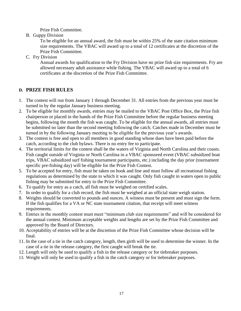Prize Fish Committee.

B. Guppy Division

To be eligible for an annual award, the fish must be within 25% of the state citation minimum size requirements. The VBAC will award up to a total of 12 certificates at the discretion of the Prize Fish Committee.

C. Fry Division

Annual awards for qualification to the Fry Division have no prize fish size requirements. Fry are allowed necessary adult assistance while fishing. The VBAC will award up to a total of 6 certificates at the discretion of the Prize Fish Committee.

#### **D. PRIZE FISH RULES**

- 1. The contest will run from January 1 through December 31. All entries from the previous year must be turned in by the regular January business meeting.
- 2. To be eligible for monthly awards, entries may be mailed to the VBAC Post Office Box, the Prize fish chairperson or placed in the hands of the Prize Fish Committee before the regular business meeting begins, following the month the fish was caught. To be eligible for the annual awards, all entries must be submitted no later than the second meeting following the catch. Catches made in December must be turned in by the following January meeting to be eligible for the previous year's awards.
- 3. The contest is free and open to all members in good standing whose dues have been paid before the catch, according to the club bylaws. There is no entry fee to participate.
- 4. The territorial limits for the contest shall be the waters of Virginia and North Carolina and their coasts. Fish caught outside of Virginia or North Carolina in a VBAC sponsored event (VBAC subsidized boat trips, VBAC subsidized surf fishing tournament participants, etc.) including the day prior (tournament specific pre-fishing day) will be eligible for the Prize Fish Contest.
- 5. To be accepted for entry, fish must be taken on hook and line and must follow all recreational fishing regulations as determined by the state to which it was caught. Only fish caught in waters open to public fishing may be submitted for entry to the Prize Fish Committee.
- 6. To qualify for entry as a catch, all fish must be weighed on certified scales.
- 7. In order to qualify for a club record, the fish must be weighed at an official state weigh station.
- 8. Weights should be converted to pounds and ounces. A witness must be present and must sign the form. If the fish qualifies for a VA or NC state tournament citation, that receipt will meet witness requirements.
- 9. Entries in the monthly contest must meet "minimum club size requirements" and will be considered for the annual contest. Minimum acceptable weights and lengths are set by the Prize Fish Committee and approved by the Board of Directors.
- 10. Acceptability of entries will be at the discretion of the Prize Fish Committee whose decision will be final.
- 11. In the case of a tie in the catch category, length, then girth will be used to determine the winner. In the case of a tie in the release category, the first caught will break the tie.
- 12. Length will only be used to qualify a fish in the release category or for tiebreaker purposes.
- 13. Weight will only be used to qualify a fish in the catch category or for tiebreaker purposes.